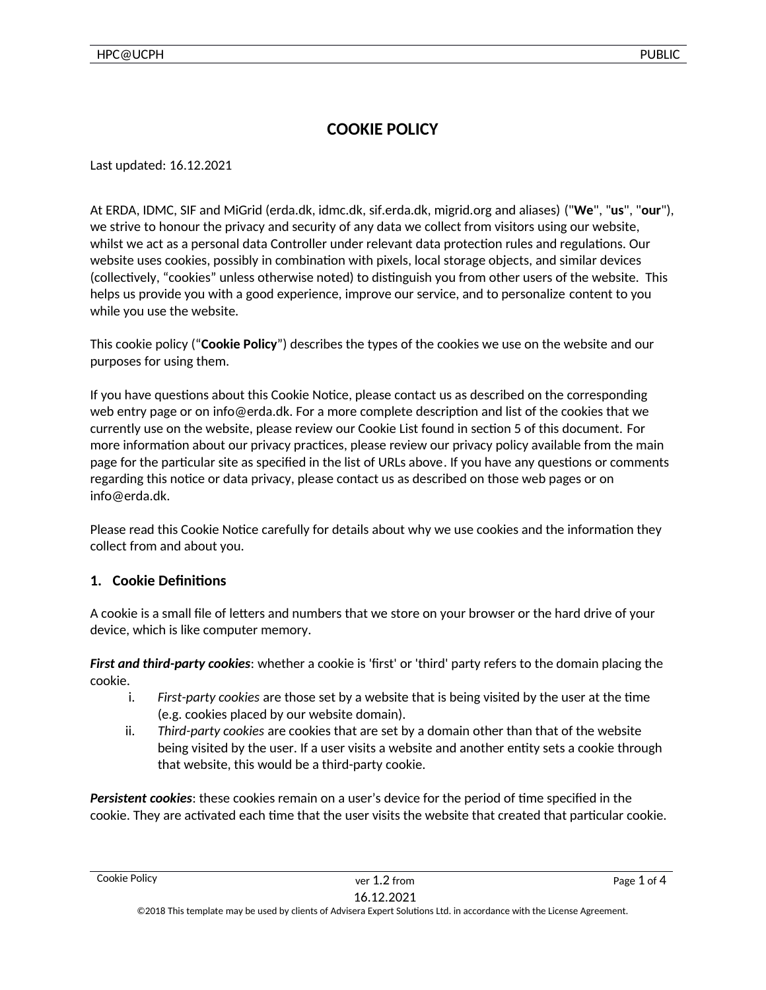# **COOKIE POLICY**

Last updated: 16.12.2021

At ERDA, IDMC, SIF and MiGrid (erda.dk, idmc.dk, sif.erda.dk, migrid.org and aliases) ("**We**", "**us**", "**our**"), we strive to honour the privacy and security of any data we collect from visitors using our website, whilst we act as a personal data Controller under relevant data protection rules and regulations. Our website uses cookies, possibly in combination with pixels, local storage objects, and similar devices (collectively, "cookies" unless otherwise noted) to distinguish you from other users of the website. This helps us provide you with a good experience, improve our service, and to personalize content to you while you use the website.

This cookie policy ("**Cookie Policy**") describes the types of the cookies we use on the website and our purposes for using them.

If you have questions about this Cookie Notice, please contact us as described on the corresponding web entry page or on info@erda.dk. For a more complete description and list of the cookies that we currently use on the website, please review our Cookie List found in section 5 of this document. For more information about our privacy practices, please review our privacy policy available from the main page for the particular site as specified in the list of URLs above. If you have any questions or comments regarding this notice or data privacy, please contact us as described on those web pages or on info@erda.dk.

Please read this Cookie Notice carefully for details about why we use cookies and the information they collect from and about you.

## **1. Cookie Definitions**

A cookie is a small file of letters and numbers that we store on your browser or the hard drive of your device, which is like computer memory.

*First and third-party cookies*: whether a cookie is 'first' or 'third' party refers to the domain placing the cookie.

- i. *First-party cookies* are those set by a website that is being visited by the user at the time (e.g. cookies placed by our website domain).
- ii. *Third-party cookies* are cookies that are set by a domain other than that of the website being visited by the user. If a user visits a website and another entity sets a cookie through that website, this would be a third-party cookie.

*Persistent cookies*: these cookies remain on a user's device for the period of time specified in the cookie. They are activated each time that the user visits the website that created that particular cookie.

©2018 This template may be used by clients of Advisera Expert Solutions Ltd. in accordance with the License Agreement.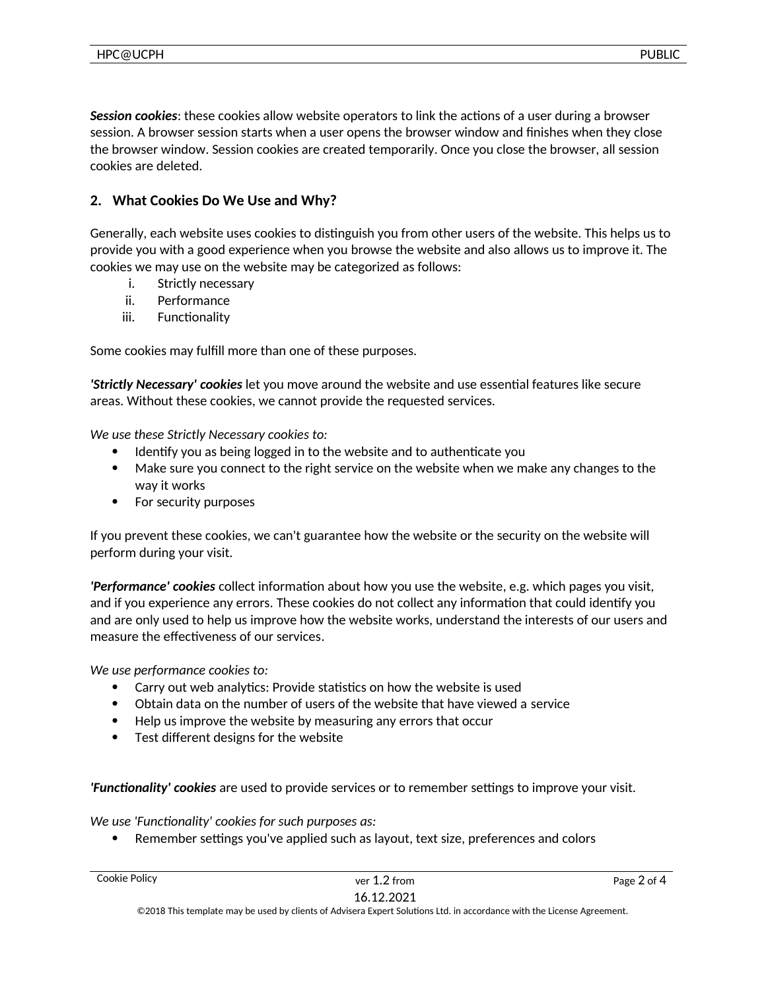*Session cookies*: these cookies allow website operators to link the actions of a user during a browser

session. A browser session starts when a user opens the browser window and finishes when they close the browser window. Session cookies are created temporarily. Once you close the browser, all session cookies are deleted.

# **2. What Cookies Do We Use and Why?**

Generally, each website uses cookies to distinguish you from other users of the website. This helps us to provide you with a good experience when you browse the website and also allows us to improve it. The cookies we may use on the website may be categorized as follows:

- i. Strictly necessary
- ii. Performance
- iii. Functionality

Some cookies may fulfill more than one of these purposes.

*'Strictly Necessary' cookies* let you move around the website and use essential features like secure areas. Without these cookies, we cannot provide the requested services.

*We use these Strictly Necessary cookies to:*

- Identify you as being logged in to the website and to authenticate you
- Make sure you connect to the right service on the website when we make any changes to the way it works
- For security purposes

If you prevent these cookies, we can't guarantee how the website or the security on the website will perform during your visit.

*'Performance' cookies* collect information about how you use the website, e.g. which pages you visit, and if you experience any errors. These cookies do not collect any information that could identify you and are only used to help us improve how the website works, understand the interests of our users and measure the effectiveness of our services.

*We use performance cookies to:*

- Carry out web analytics: Provide statistics on how the website is used
- Obtain data on the number of users of the website that have viewed a service
- Help us improve the website by measuring any errors that occur
- Test different designs for the website

*'Functionality' cookies* are used to provide services or to remember settings to improve your visit.

*We use 'Functionality' cookies for such purposes as:*

Remember settings you've applied such as layout, text size, preferences and colors

©2018 This template may be used by clients of Advisera Expert Solutions Ltd. in accordance with the License Agreement.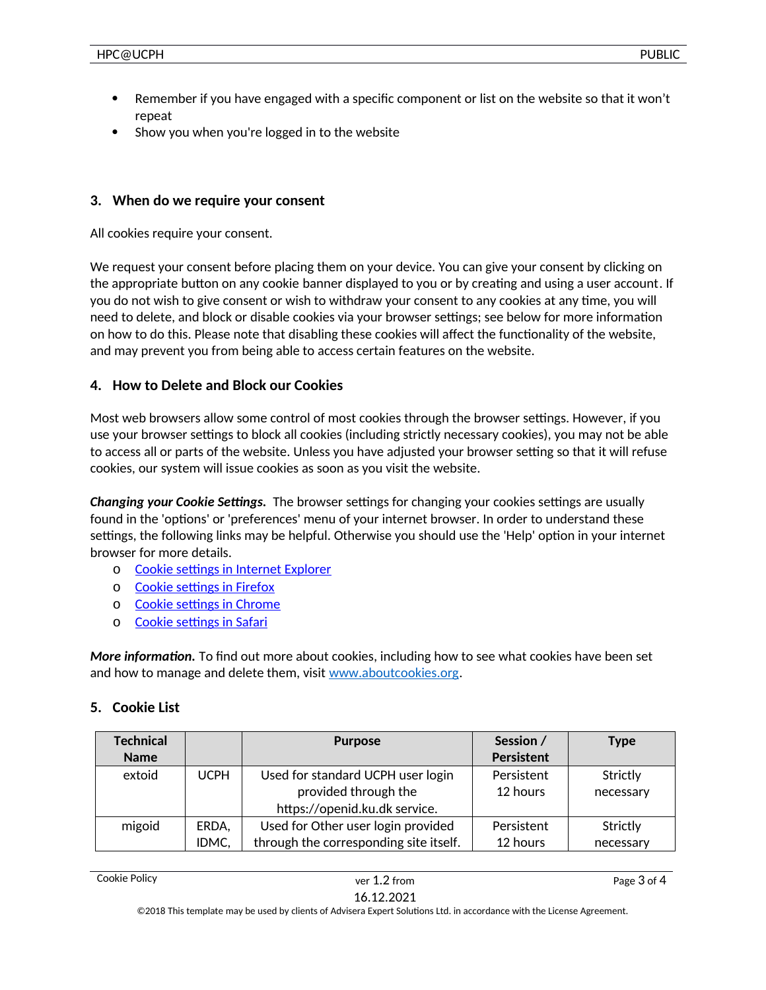- Remember if you have engaged with a specific component or list on the website so that it won't repeat
- Show you when you're logged in to the website

#### **3. When do we require your consent**

All cookies require your consent.

We request your consent before placing them on your device. You can give your consent by clicking on the appropriate button on any cookie banner displayed to you or by creating and using a user account. If you do not wish to give consent or wish to withdraw your consent to any cookies at any time, you will need to delete, and block or disable cookies via your browser settings; see below for more information on how to do this. Please note that disabling these cookies will affect the functionality of the website, and may prevent you from being able to access certain features on the website.

#### **4. How to Delete and Block our Cookies**

Most web browsers allow some control of most cookies through the browser settings. However, if you use your browser settings to block all cookies (including strictly necessary cookies), you may not be able to access all or parts of the website. Unless you have adjusted your browser setting so that it will refuse cookies, our system will issue cookies as soon as you visit the website.

*Changing your Cookie Settings.* The browser settings for changing your cookies settings are usually found in the 'options' or 'preferences' menu of your internet browser. In order to understand these settings, the following links may be helpful. Otherwise you should use the 'Help' option in your internet browser for more details.

- o [Cookie settings in Internet Explorer](https://support.microsoft.com/en-us/help/17442/windows-internet-explorer-delete-manage-cookies)
- o [Cookie settings in Firefox](https://support.mozilla.org/en-US/kb/enable-and-disable-cookies-website-preferences)
- o [Cookie settings in Chrome](https://support.google.com/chrome/answer/95647?hl=en)
- o [Cookie settings in Safari](https://support.apple.com/guide/safari/manage-cookies-and-website-data-sfri11471/mac)

*More information.* To find out more about cookies, including how to see what cookies have been set and how to manage and delete them, visit [www.aboutcookies.org](http://www.aboutcookies.org/).

#### **5. Cookie List**

| <b>Technical</b> |             | <b>Purpose</b>                         | Session /  | Type      |
|------------------|-------------|----------------------------------------|------------|-----------|
| <b>Name</b>      |             |                                        | Persistent |           |
| extoid           | <b>UCPH</b> | Used for standard UCPH user login      | Persistent | Strictly  |
|                  |             | provided through the                   | 12 hours   | necessary |
|                  |             | https://openid.ku.dk service.          |            |           |
| migoid           | ERDA,       | Used for Other user login provided     | Persistent | Strictly  |
|                  | IDMC,       | through the corresponding site itself. | 12 hours   | necessary |

©2018 This template may be used by clients of Advisera Expert Solutions Ltd. in accordance with the License Agreement.